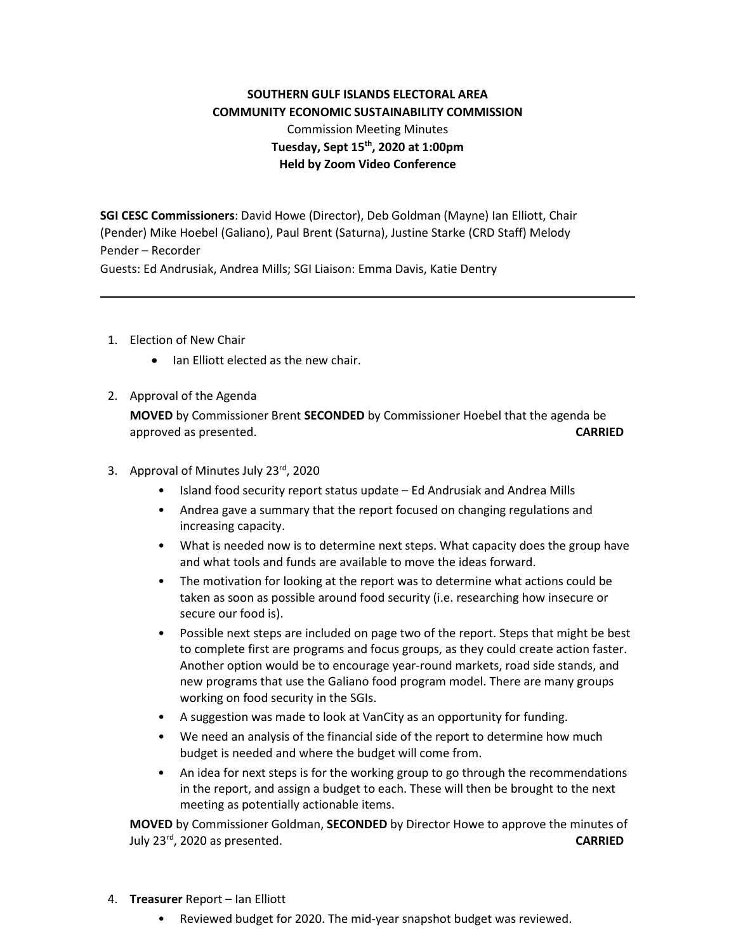## **SOUTHERN GULF ISLANDS ELECTORAL AREA COMMUNITY ECONOMIC SUSTAINABILITY COMMISSION** Commission Meeting Minutes **Tuesday, Sept 15th, 2020 at 1:00pm Held by Zoom Video Conference**

**SGI CESC Commissioners**: David Howe (Director), Deb Goldman (Mayne) Ian Elliott, Chair (Pender) Mike Hoebel (Galiano), Paul Brent (Saturna), Justine Starke (CRD Staff) Melody Pender – Recorder

Guests: Ed Andrusiak, Andrea Mills; SGI Liaison: Emma Davis, Katie Dentry

- 1. Election of New Chair
	- Ian Elliott elected as the new chair.
- 2. Approval of the Agenda

**MOVED** by Commissioner Brent **SECONDED** by Commissioner Hoebel that the agenda be approved as presented. **CARRIED**

- 3. Approval of Minutes July 23rd, 2020
	- Island food security report status update Ed Andrusiak and Andrea Mills
	- Andrea gave a summary that the report focused on changing regulations and increasing capacity.
	- What is needed now is to determine next steps. What capacity does the group have and what tools and funds are available to move the ideas forward.
	- The motivation for looking at the report was to determine what actions could be taken as soon as possible around food security (i.e. researching how insecure or secure our food is).
	- Possible next steps are included on page two of the report. Steps that might be best to complete first are programs and focus groups, as they could create action faster. Another option would be to encourage year-round markets, road side stands, and new programs that use the Galiano food program model. There are many groups working on food security in the SGIs.
	- A suggestion was made to look at VanCity as an opportunity for funding.
	- We need an analysis of the financial side of the report to determine how much budget is needed and where the budget will come from.
	- An idea for next steps is for the working group to go through the recommendations in the report, and assign a budget to each. These will then be brought to the next meeting as potentially actionable items.

**MOVED** by Commissioner Goldman, **SECONDED** by Director Howe to approve the minutes of July 23rd, 2020 as presented. **CARRIED**

- 4. **Treasurer** Report Ian Elliott
	- Reviewed budget for 2020. The mid-year snapshot budget was reviewed.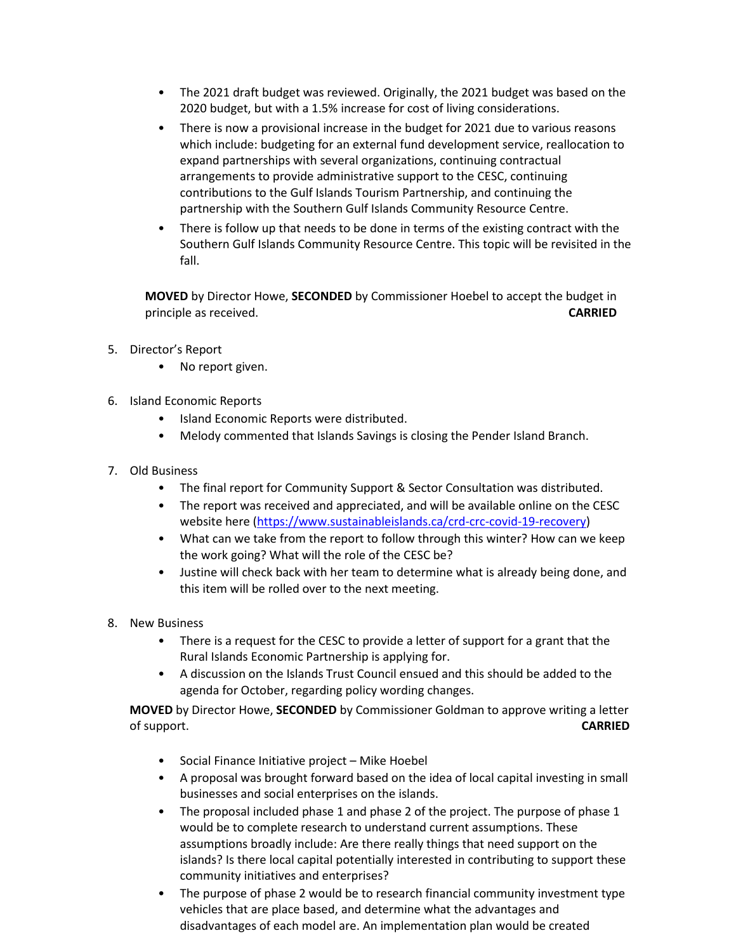- The 2021 draft budget was reviewed. Originally, the 2021 budget was based on the 2020 budget, but with a 1.5% increase for cost of living considerations.
- There is now a provisional increase in the budget for 2021 due to various reasons which include: budgeting for an external fund development service, reallocation to expand partnerships with several organizations, continuing contractual arrangements to provide administrative support to the CESC, continuing contributions to the Gulf Islands Tourism Partnership, and continuing the partnership with the Southern Gulf Islands Community Resource Centre.
- There is follow up that needs to be done in terms of the existing contract with the Southern Gulf Islands Community Resource Centre. This topic will be revisited in the fall.

**MOVED** by Director Howe, **SECONDED** by Commissioner Hoebel to accept the budget in principle as received. **CARRIED**

- 5. Director's Report
	- No report given.
- 6. Island Economic Reports
	- Island Economic Reports were distributed.
	- Melody commented that Islands Savings is closing the Pender Island Branch.
- 7. Old Business
	- The final report for Community Support & Sector Consultation was distributed.
	- The report was received and appreciated, and will be available online on the CESC website here [\(https://www.sustainableislands.ca/crd-crc-covid-19-recovery\)](https://www.sustainableislands.ca/crd-crc-covid-19-recovery)
	- What can we take from the report to follow through this winter? How can we keep the work going? What will the role of the CESC be?
	- Justine will check back with her team to determine what is already being done, and this item will be rolled over to the next meeting.
- 8. New Business
	- There is a request for the CESC to provide a letter of support for a grant that the Rural Islands Economic Partnership is applying for.
	- A discussion on the Islands Trust Council ensued and this should be added to the agenda for October, regarding policy wording changes.

**MOVED** by Director Howe, **SECONDED** by Commissioner Goldman to approve writing a letter of support. **CARRIED**

- Social Finance Initiative project Mike Hoebel
- A proposal was brought forward based on the idea of local capital investing in small businesses and social enterprises on the islands.
- The proposal included phase 1 and phase 2 of the project. The purpose of phase 1 would be to complete research to understand current assumptions. These assumptions broadly include: Are there really things that need support on the islands? Is there local capital potentially interested in contributing to support these community initiatives and enterprises?
- The purpose of phase 2 would be to research financial community investment type vehicles that are place based, and determine what the advantages and disadvantages of each model are. An implementation plan would be created